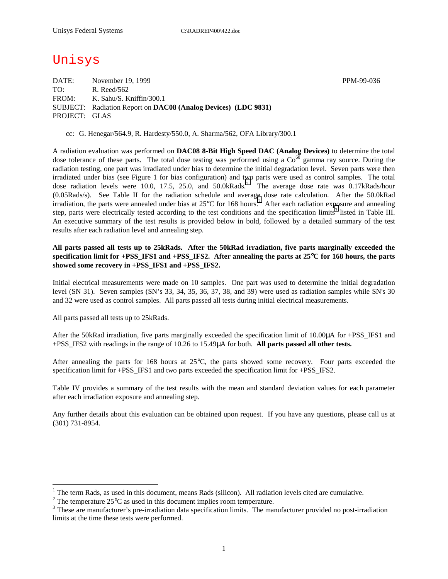# Unisys

DATE: November 19, 1999 November 19, 1999 TO: R. Reed/562 FROM: K. Sahu/S. Kniffin/300.1 SUBJECT: Radiation Report on **DAC08 (Analog Devices) (LDC 9831)** PROJECT: GLAS

cc: G. Henegar/564.9, R. Hardesty/550.0, A. Sharma/562, OFA Library/300.1

A radiation evaluation was performed on **DAC08 8-Bit High Speed DAC (Analog Devices)** to determine the total dose tolerance of these parts. The total dose testing was performed using a  $Co<sup>60</sup>$  gamma ray source. During the radiation testing, one part was irradiated under bias to determine the initial degradation level. Seven parts were then irradiated under bias (see Figure 1 for bias configuration) and two parts were used as control samples. The total dose radiation levels were 10.0, 17.5, 25.0, and 50.0kRads.<sup>1</sup> The average dose rate was 0.17kRads/hour (0.05Rads/s). See Table II for the radiation schedule and average dose rate calculation. After the 50.0kRad irradiation, the parts were annealed under bias at  $25^{\circ}$ C for 168 hours.<sup>2</sup> After each radiation exposure and annealing step, parts were electrically tested according to the test conditions and the specification limits<sup>3</sup> listed in Table III. An executive summary of the test results is provided below in bold, followed by a detailed summary of the test results after each radiation level and annealing step.

## **All parts passed all tests up to 25kRads. After the 50kRad irradiation, five parts marginally exceeded the specification limit for +PSS\_IFS1 and +PSS\_IFS2. After annealing the parts at 25**°**C for 168 hours, the parts showed some recovery in +PSS\_IFS1 and +PSS\_IFS2.**

Initial electrical measurements were made on 10 samples. One part was used to determine the initial degradation level (SN 31). Seven samples (SN's 33, 34, 35, 36, 37, 38, and 39) were used as radiation samples while SN's 30 and 32 were used as control samples. All parts passed all tests during initial electrical measurements.

All parts passed all tests up to 25kRads.

 $\overline{a}$ 

After the 50kRad irradiation, five parts marginally exceeded the specification limit of 10.00 $\mu$ A for +PSS IFS1 and +PSS\_IFS2 with readings in the range of 10.26 to 15.49µA for both. **All parts passed all other tests.**

After annealing the parts for 168 hours at 25°C, the parts showed some recovery. Four parts exceeded the specification limit for +PSS\_IFS1 and two parts exceeded the specification limit for +PSS\_IFS2.

Table IV provides a summary of the test results with the mean and standard deviation values for each parameter after each irradiation exposure and annealing step.

Any further details about this evaluation can be obtained upon request. If you have any questions, please call us at (301) 731-8954.

<sup>&</sup>lt;sup>1</sup> The term Rads, as used in this document, means Rads (silicon). All radiation levels cited are cumulative.

<sup>&</sup>lt;sup>2</sup> The temperature 25 $^{\circ}$ C as used in this document implies room temperature.  $^3$  These are manufacturer's are irrediction date apositionism limits. The manufacturer's

<sup>&</sup>lt;sup>3</sup> These are manufacturer's pre-irradiation data specification limits. The manufacturer provided no post-irradiation limits at the time these tests were performed.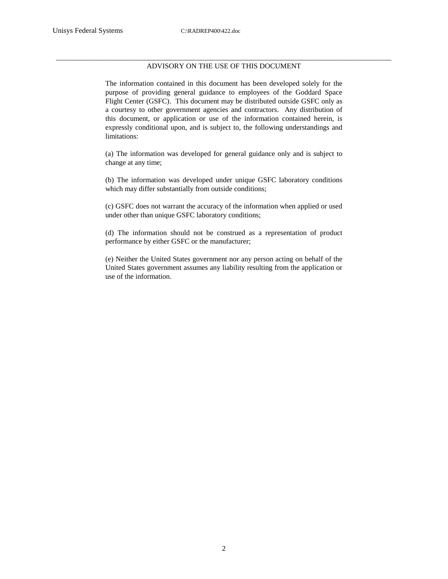#### \_\_\_\_\_\_\_\_\_\_\_\_\_\_\_\_\_\_\_\_\_\_\_\_\_\_\_\_\_\_\_\_\_\_\_\_\_\_\_\_\_\_\_\_\_\_\_\_\_\_\_\_\_\_\_\_\_\_\_\_\_\_\_\_\_\_\_\_\_\_\_\_\_\_\_\_\_\_\_\_\_\_\_\_\_\_\_\_\_\_\_ ADVISORY ON THE USE OF THIS DOCUMENT

The information contained in this document has been developed solely for the purpose of providing general guidance to employees of the Goddard Space Flight Center (GSFC). This document may be distributed outside GSFC only as a courtesy to other government agencies and contractors. Any distribution of this document, or application or use of the information contained herein, is expressly conditional upon, and is subject to, the following understandings and limitations:

(a) The information was developed for general guidance only and is subject to change at any time;

(b) The information was developed under unique GSFC laboratory conditions which may differ substantially from outside conditions;

(c) GSFC does not warrant the accuracy of the information when applied or used under other than unique GSFC laboratory conditions;

(d) The information should not be construed as a representation of product performance by either GSFC or the manufacturer;

(e) Neither the United States government nor any person acting on behalf of the United States government assumes any liability resulting from the application or use of the information.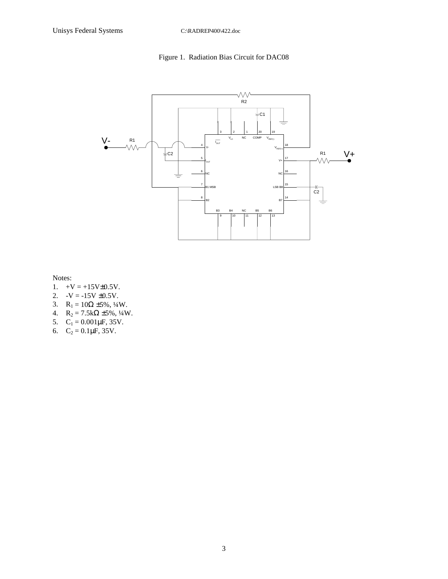# Figure 1. Radiation Bias Circuit for DAC08



Notes:

- 1.  $+V = +15V \pm 0.5V$ .
- 2.  $-V = -15V \pm 0.5V$ .
- 3.  $R_1 = 10\Omega \pm 5\%, \frac{1}{4}W$ .
- 4.  $R_2 = 7.5k\Omega \pm 5\%, \frac{1}{4}W$ .
- 5.  $C_1 = 0.001 \mu F$ , 35V.
- 6.  $C_2 = 0.1 \mu F$ , 35V.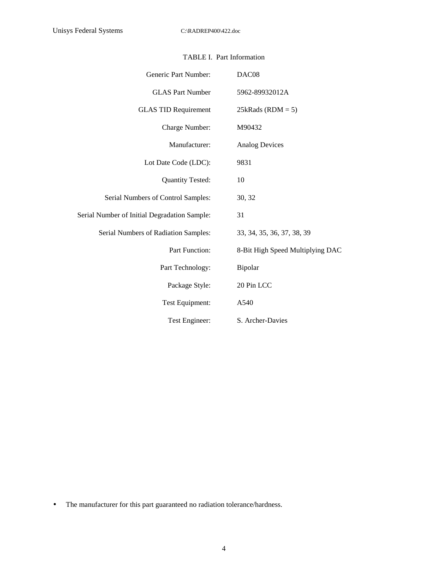| Generic Part Number:                         | DAC08                            |
|----------------------------------------------|----------------------------------|
| <b>GLAS Part Number</b>                      | 5962-89932012A                   |
| <b>GLAS TID Requirement</b>                  | $25kRads (RDM = 5)$              |
| Charge Number:                               | M90432                           |
| Manufacturer:                                | <b>Analog Devices</b>            |
| Lot Date Code (LDC):                         | 9831                             |
| <b>Quantity Tested:</b>                      | 10                               |
| Serial Numbers of Control Samples:           | 30, 32                           |
| Serial Number of Initial Degradation Sample: | 31                               |
| Serial Numbers of Radiation Samples:         | 33, 34, 35, 36, 37, 38, 39       |
| Part Function:                               | 8-Bit High Speed Multiplying DAC |
| Part Technology:                             | Bipolar                          |
| Package Style:                               | 20 Pin LCC                       |
| Test Equipment:                              | A540                             |
| Test Engineer:                               | S. Archer-Davies                 |

• The manufacturer for this part guaranteed no radiation tolerance/hardness.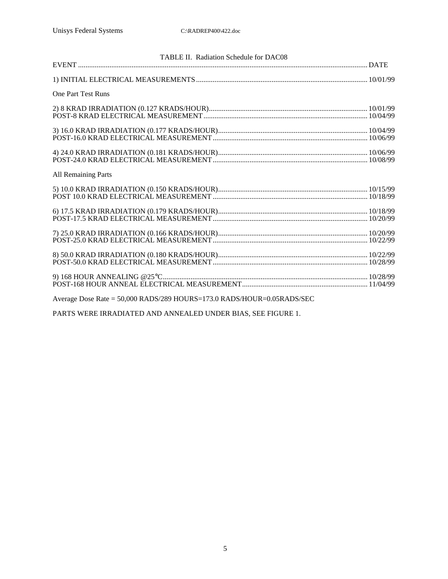| TABLE II. Radiation Schedule for DAC08                                                                          |  |  |  |  |  |
|-----------------------------------------------------------------------------------------------------------------|--|--|--|--|--|
|                                                                                                                 |  |  |  |  |  |
|                                                                                                                 |  |  |  |  |  |
| <b>One Part Test Runs</b>                                                                                       |  |  |  |  |  |
|                                                                                                                 |  |  |  |  |  |
|                                                                                                                 |  |  |  |  |  |
|                                                                                                                 |  |  |  |  |  |
|                                                                                                                 |  |  |  |  |  |
|                                                                                                                 |  |  |  |  |  |
| $4) 24.0 KRAD IRRADIATION (0.181 KRADS/HOUR)\n   10/06/99\nPOST-24.0 KRAD ELECTRICAL MEASUREMENT \n   10/08/99$ |  |  |  |  |  |
| All Remaining Parts                                                                                             |  |  |  |  |  |
|                                                                                                                 |  |  |  |  |  |
|                                                                                                                 |  |  |  |  |  |
|                                                                                                                 |  |  |  |  |  |
|                                                                                                                 |  |  |  |  |  |
|                                                                                                                 |  |  |  |  |  |
|                                                                                                                 |  |  |  |  |  |
|                                                                                                                 |  |  |  |  |  |
|                                                                                                                 |  |  |  |  |  |
|                                                                                                                 |  |  |  |  |  |
|                                                                                                                 |  |  |  |  |  |
|                                                                                                                 |  |  |  |  |  |
| Average Dose Rate = 50,000 RADS/289 HOURS=173.0 RADS/HOUR=0.05RADS/SEC                                          |  |  |  |  |  |

PARTS WERE IRRADIATED AND ANNEALED UNDER BIAS, SEE FIGURE 1.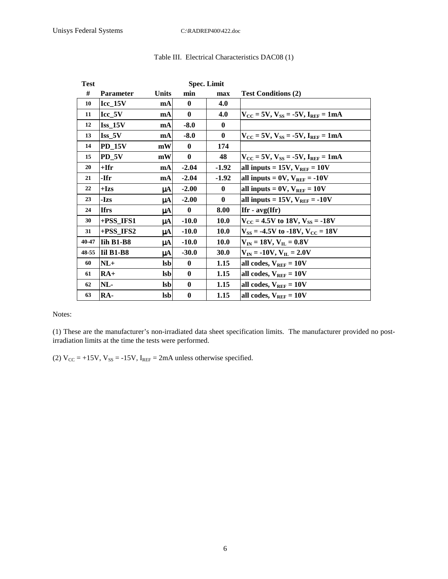| <b>Test</b> | <b>Spec. Limit</b>       |              |              |              |                                                                     |
|-------------|--------------------------|--------------|--------------|--------------|---------------------------------------------------------------------|
| #           | <b>Parameter</b>         | <b>Units</b> | min          | max          | <b>Test Conditions (2)</b>                                          |
| 10          | $Icc_15V$                | mA           | $\bf{0}$     | 4.0          |                                                                     |
| 11          | Icc 5V                   | mA           | $\bf{0}$     | 4.0          | $V_{CC}$ = 5V, $V_{SS}$ = -5V, $I_{REF}$ = 1mA                      |
| 12          | $Iss$ 15V                | mA           | $-8.0$       | $\mathbf{0}$ |                                                                     |
| 13          | $\operatorname{Iss\_5V}$ | mA           | $-8.0$       | $\bf{0}$     | $V_{\text{CC}}$ = 5V, $V_{\text{SS}}$ = -5V, $I_{\text{REF}}$ = 1mA |
| 14          | <b>PD_15V</b>            | mW           | $\mathbf{0}$ | 174          |                                                                     |
| 15          | $PD_5V$                  | mW           | $\bf{0}$     | 48           | $V_{\rm CC}$ = 5V, $V_{\rm SS}$ = -5V, $I_{\rm REF}$ = 1mA          |
| 20          | $+$ Ifr                  | mA           | $-2.04$      | $-1.92$      | all inputs = $15V$ , $V_{REF} = 10V$                                |
| 21          | -Ifr                     | mA           | $-2.04$      | $-1.92$      | all inputs = $0V$ , $V_{REF}$ = -10V                                |
| 22          | $+Izs$                   | μA           | $-2.00$      | $\bf{0}$     | all inputs = $0V$ , $V_{REF} = 10V$                                 |
| 23          | -Izs                     | μA           | $-2.00$      | $\bf{0}$     | all inputs = 15V, $V_{REF}$ = -10V                                  |
| 24          | <b>Ifrs</b>              | μA           | $\bf{0}$     | 8.00         | Ifr - $avg(Ifr)$                                                    |
| 30          | +PSS_IFS1                | μA           | $-10.0$      | <b>10.0</b>  | $V_{CC}$ = 4.5V to 18V, $V_{SS}$ = -18V                             |
| 31          | $+PSS_I$ IFS2            | μA           | $-10.0$      | <b>10.0</b>  | $V_{SS}$ = -4.5V to -18V, $V_{CC}$ = 18V                            |
| 40-47       | Iih B1-B8                | μA           | $-10.0$      | <b>10.0</b>  | $V_{IN} = 18V, V_{IL} = 0.8V$                                       |
| 48-55       | $\overline{I}$ il B1-B8  | μA           | $-30.0$      | 30.0         | $ V_{IN} = -10V, V_{IL} = 2.0V$                                     |
| 60          | $NL+$                    | <b>lsb</b>   | $\bf{0}$     | 1.15         | all codes, $V_{REF} = 10V$                                          |
| 61          | $RA+$                    | <b>lsb</b>   | $\bf{0}$     | 1.15         | all codes, $V_{REF} = 10V$                                          |
| 62          | NL-                      | <b>lsb</b>   | $\bf{0}$     | 1.15         | all codes, $V_{REF} = 10V$                                          |
| 63          | RA-                      | <b>lsb</b>   | $\bf{0}$     | 1.15         | all codes, $V_{REF} = 10V$                                          |

## Table III. Electrical Characteristics DAC08 (1)

Notes:

(1) These are the manufacturer's non-irradiated data sheet specification limits. The manufacturer provided no postirradiation limits at the time the tests were performed.

(2)  $V_{CC} = +15V$ ,  $V_{SS} = -15V$ ,  $I_{REF} = 2mA$  unless otherwise specified.